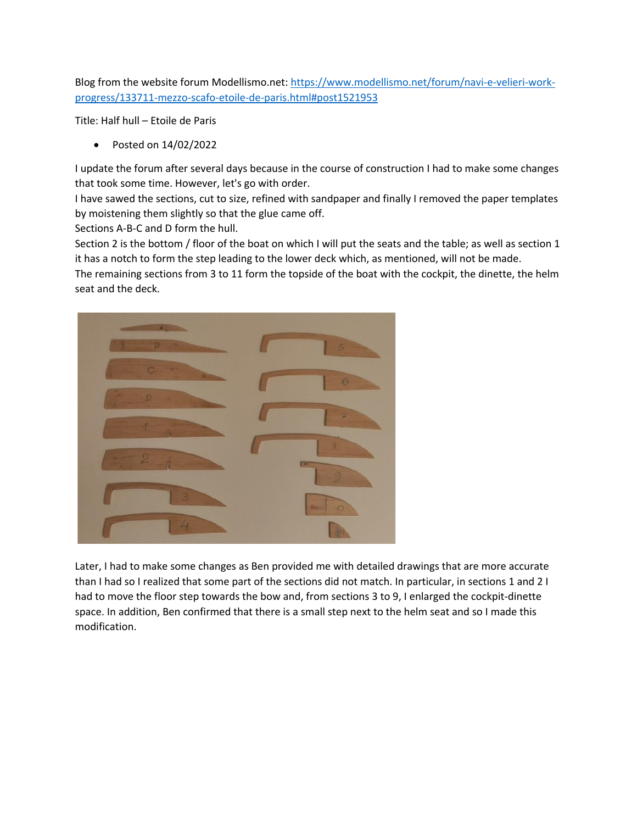Blog from the website forum Modellismo.net: https://www.modellismo.net/forum/navi-e-velieri-workprogress/133711-mezzo-scafo-etoile-de-paris.html#post1521953

Title: Half hull – Etoile de Paris

• Posted on 14/02/2022

I update the forum after several days because in the course of construction I had to make some changes that took some time. However, let's go with order.

I have sawed the sections, cut to size, refined with sandpaper and finally I removed the paper templates by moistening them slightly so that the glue came off.

Sections A-B-C and D form the hull.

Section 2 is the bottom / floor of the boat on which I will put the seats and the table; as well as section 1 it has a notch to form the step leading to the lower deck which, as mentioned, will not be made.

The remaining sections from 3 to 11 form the topside of the boat with the cockpit, the dinette, the helm seat and the deck.



Later, I had to make some changes as Ben provided me with detailed drawings that are more accurate than I had so I realized that some part of the sections did not match. In particular, in sections 1 and 2 I had to move the floor step towards the bow and, from sections 3 to 9, I enlarged the cockpit-dinette space. In addition, Ben confirmed that there is a small step next to the helm seat and so I made this modification.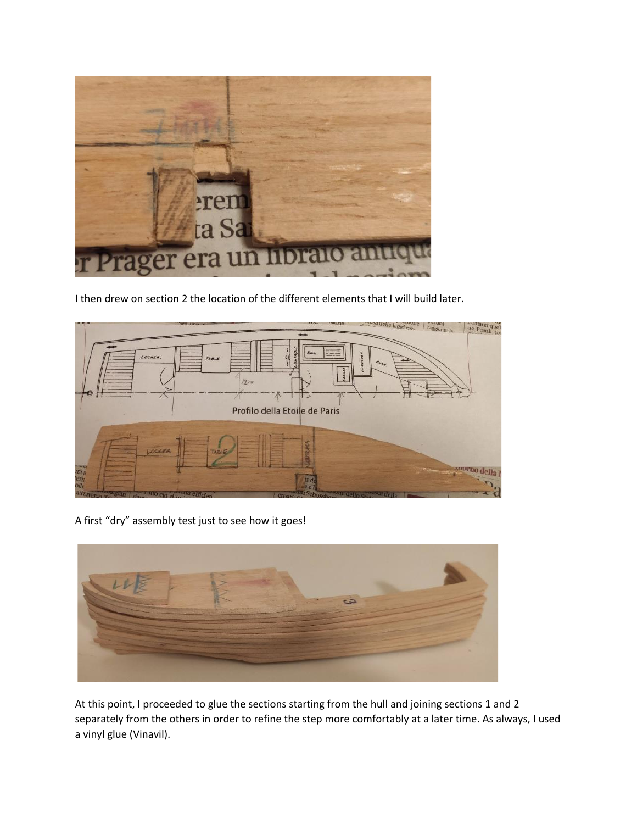

I then drew on section 2 the location of the different elements that I will build later.



A first "dry" assembly test just to see how it goes!



At this point, I proceeded to glue the sections starting from the hull and joining sections 1 and 2 separately from the others in order to refine the step more comfortably at a later time. As always, I used a vinyl glue (Vinavil).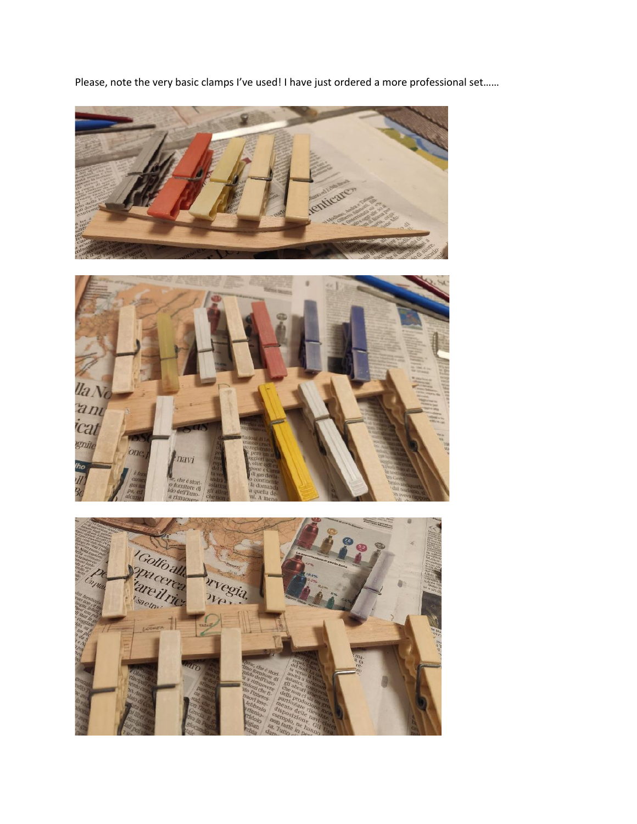Please, note the very basic clamps I've used! I have just ordered a more professional set......